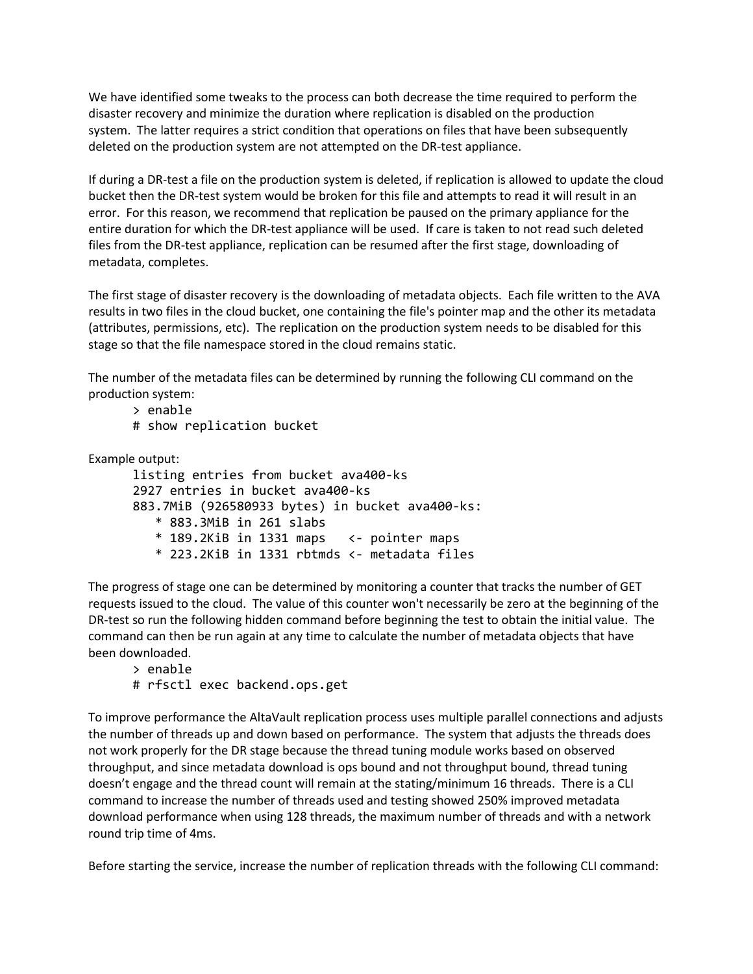We have identified some tweaks to the process can both decrease the time required to perform the disaster recovery and minimize the duration where replication is disabled on the production system. The latter requires a strict condition that operations on files that have been subsequently deleted on the production system are not attempted on the DR-test appliance.

If during a DR-test a file on the production system is deleted, if replication is allowed to update the cloud bucket then the DR-test system would be broken for this file and attempts to read it will result in an error. For this reason, we recommend that replication be paused on the primary appliance for the entire duration for which the DR-test appliance will be used. If care is taken to not read such deleted files from the DR-test appliance, replication can be resumed after the first stage, downloading of metadata, completes.

The first stage of disaster recovery is the downloading of metadata objects. Each file written to the AVA results in two files in the cloud bucket, one containing the file's pointer map and the other its metadata (attributes, permissions, etc). The replication on the production system needs to be disabled for this stage so that the file namespace stored in the cloud remains static.

The number of the metadata files can be determined by running the following CLI command on the production system:

- > enable
- # show replication bucket

Example output:

listing entries from bucket ava400-ks 2927 entries in bucket ava400-ks 883.7MiB (926580933 bytes) in bucket ava400-ks: \* 883.3MiB in 261 slabs \* 189.2KiB in 1331 maps <- pointer maps \* 223.2KiB in 1331 rbtmds <- metadata files

The progress of stage one can be determined by monitoring a counter that tracks the number of GET requests issued to the cloud. The value of this counter won't necessarily be zero at the beginning of the DR-test so run the following hidden command before beginning the test to obtain the initial value. The command can then be run again at any time to calculate the number of metadata objects that have been downloaded.

> enable

# rfsctl exec backend.ops.get

To improve performance the AltaVault replication process uses multiple parallel connections and adjusts the number of threads up and down based on performance. The system that adjusts the threads does not work properly for the DR stage because the thread tuning module works based on observed throughput, and since metadata download is ops bound and not throughput bound, thread tuning doesn't engage and the thread count will remain at the stating/minimum 16 threads. There is a CLI command to increase the number of threads used and testing showed 250% improved metadata download performance when using 128 threads, the maximum number of threads and with a network round trip time of 4ms.

Before starting the service, increase the number of replication threads with the following CLI command: